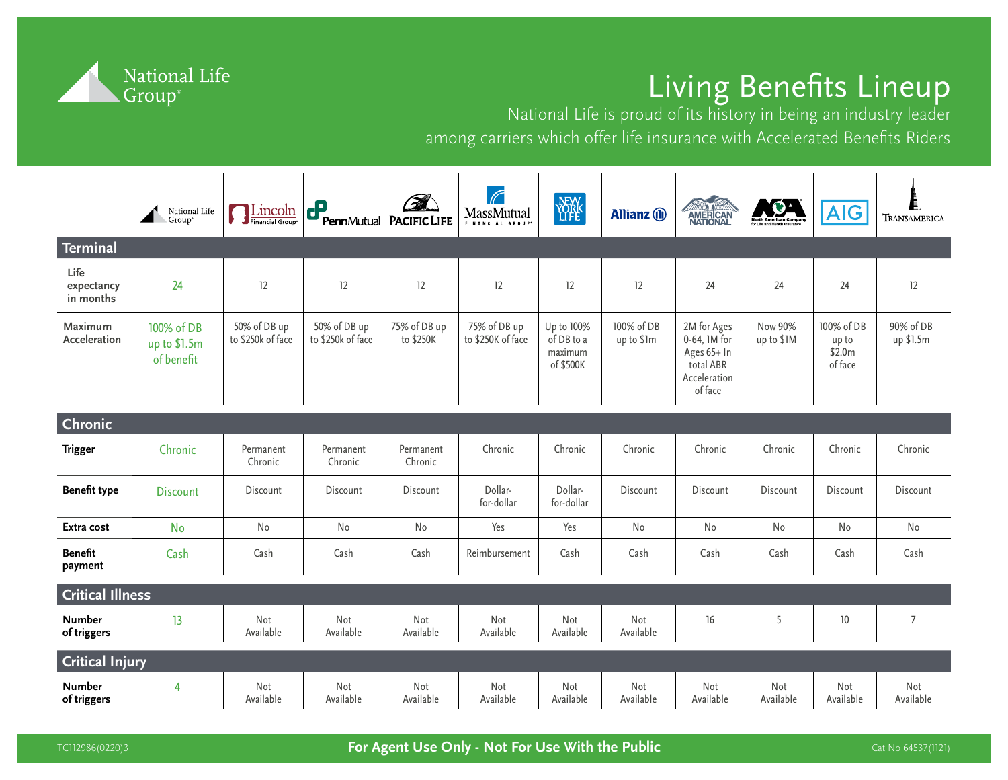

## Living Benefits Lineup

National Life is proud of its history in being an industry leader among carriers which offer life insurance with Accelerated Benefits Riders

|                                 | National Life<br>Group*                  | Lincoln<br>Financial Group®       | d?<br>PennMutual                  | <b>PACIFIC LIFE</b>       | $\sqrt{ }$<br>MassMutual<br>FINANCIAL GROUP | <b>NEW</b>                                       | <b>Allianz</b> (ii)      | <b>AMERICAN</b><br>NATIONAL                                                        | <b>NGA</b><br>North American Compan<br>for Life and Health Insurance | <b>AIG</b>                               | TRANSAMERICA           |
|---------------------------------|------------------------------------------|-----------------------------------|-----------------------------------|---------------------------|---------------------------------------------|--------------------------------------------------|--------------------------|------------------------------------------------------------------------------------|----------------------------------------------------------------------|------------------------------------------|------------------------|
| <b>Terminal</b>                 |                                          |                                   |                                   |                           |                                             |                                                  |                          |                                                                                    |                                                                      |                                          |                        |
| Life<br>expectancy<br>in months | 24                                       | 12                                | 12                                | 12                        | 12                                          | 12                                               | 12                       | 24                                                                                 | 24                                                                   | 24                                       | 12                     |
| Maximum<br>Acceleration         | 100% of DB<br>up to \$1.5m<br>of benefit | 50% of DB up<br>to \$250k of face | 50% of DB up<br>to \$250k of face | 75% of DB up<br>to \$250K | 75% of DB up<br>to \$250K of face           | Up to 100%<br>of DB to a<br>maximum<br>of \$500K | 100% of DB<br>up to \$1m | 2M for Ages<br>0-64, 1M for<br>Ages 65+ In<br>total ABR<br>Acceleration<br>of face | <b>Now 90%</b><br>up to \$1M                                         | 100% of DB<br>up to<br>\$2.0m<br>of face | 90% of DB<br>up \$1.5m |
| <b>Chronic</b>                  |                                          |                                   |                                   |                           |                                             |                                                  |                          |                                                                                    |                                                                      |                                          |                        |
| <b>Trigger</b>                  | Chronic                                  | Permanent<br>Chronic              | Permanent<br>Chronic              | Permanent<br>Chronic      | Chronic                                     | Chronic                                          | Chronic                  | Chronic                                                                            | Chronic                                                              | Chronic                                  | Chronic                |
| <b>Benefit type</b>             | <b>Discount</b>                          | Discount                          | Discount                          | Discount                  | Dollar-<br>for-dollar                       | Dollar-<br>for-dollar                            | Discount                 | Discount                                                                           | Discount                                                             | Discount                                 | Discount               |
| Extra cost                      | <b>No</b>                                | No                                | No                                | No                        | Yes                                         | Yes                                              | No                       | No                                                                                 | No                                                                   | No                                       | No                     |
| <b>Benefit</b><br>payment       | Cash                                     | Cash                              | Cash                              | Cash                      | Reimbursement                               | Cash                                             | Cash                     | Cash                                                                               | Cash                                                                 | Cash                                     | Cash                   |
| <b>Critical Illness</b>         |                                          |                                   |                                   |                           |                                             |                                                  |                          |                                                                                    |                                                                      |                                          |                        |
| <b>Number</b><br>of triggers    | 13                                       | Not<br>Available                  | Not<br>Available                  | Not<br>Available          | Not<br>Available                            | Not<br>Available                                 | Not<br>Available         | 16                                                                                 | 5                                                                    | 10                                       | $\overline{7}$         |
| <b>Critical Injury</b>          |                                          |                                   |                                   |                           |                                             |                                                  |                          |                                                                                    |                                                                      |                                          |                        |
| <b>Number</b><br>of triggers    | 4                                        | Not<br>Available                  | Not<br>Available                  | Not<br>Available          | Not<br>Available                            | Not<br>Available                                 | Not<br>Available         | Not<br>Available                                                                   | Not<br>Available                                                     | Not<br>Available                         | Not<br>Available       |